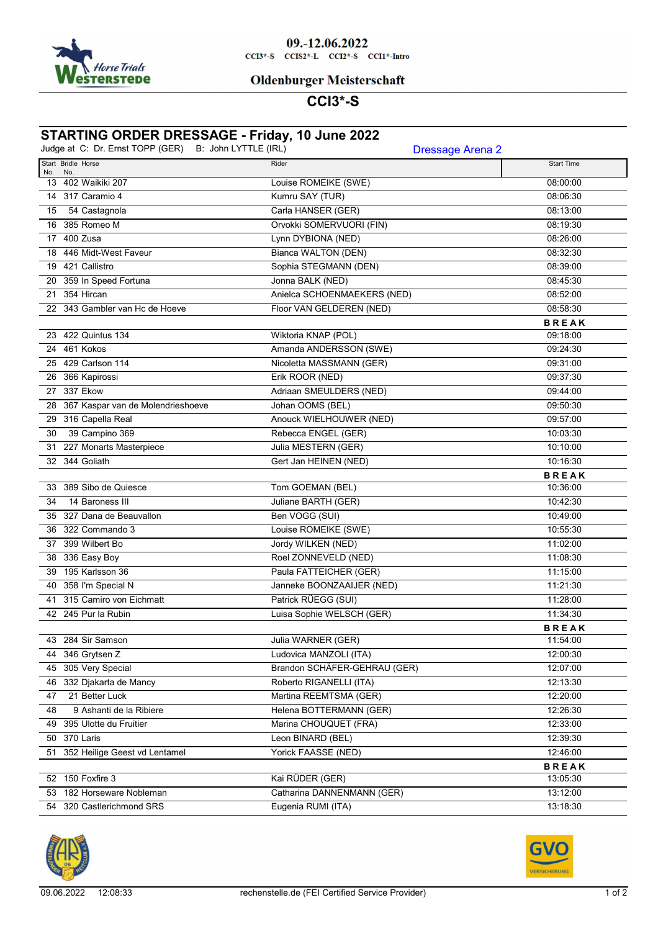

#### 09.-12.06.2022  $CCI3*-S$   $CCI52*-L$   $CCI2*-S$   $CCI1*-Intro$

### **Oldenburger Meisterschaft**

## **CCI3\*-S**

# **STARTING ORDER DRESSAGE - Friday, 10 June 2022**

| Judge at C: Dr. Ernst TOPP (GER)              | B: John LYTTLE (IRL)         | <b>Dressage Arena 2</b> |
|-----------------------------------------------|------------------------------|-------------------------|
| Start Bridle Horse<br>No.<br>No.              | Rider                        | <b>Start Time</b>       |
| 13 402 Waikiki 207                            | Louise ROMEIKE (SWE)         | 08:00:00                |
| 14 317 Caramio 4                              | Kumru SAY (TUR)              | 08:06:30                |
| 54 Castagnola<br>15                           | Carla HANSER (GER)           | 08:13:00                |
| 16 385 Romeo M                                | Orvokki SOMERVUORI (FIN)     | 08:19:30                |
| 17 400 Zusa                                   | Lynn DYBIONA (NED)           | 08:26:00                |
| 18 446 Midt-West Faveur                       | <b>Bianca WALTON (DEN)</b>   | 08:32:30                |
| 19 421 Callistro                              | Sophia STEGMANN (DEN)        | 08:39:00                |
| 20 359 In Speed Fortuna                       | Jonna BALK (NED)             | 08:45:30                |
| 21 354 Hircan                                 | Anielca SCHOENMAEKERS (NED)  | 08:52:00                |
| 22 343 Gambler van Hc de Hoeve                | Floor VAN GELDEREN (NED)     | 08:58:30                |
|                                               |                              | <b>BREAK</b>            |
| 23 422 Quintus 134                            | Wiktoria KNAP (POL)          | 09:18:00                |
| 24 461 Kokos                                  | Amanda ANDERSSON (SWE)       | 09:24:30                |
| 25 429 Carlson 114                            | Nicoletta MASSMANN (GER)     | 09:31:00                |
| 26 366 Kapirossi                              | Erik ROOR (NED)              | 09:37:30                |
| 27 337 Ekow                                   | Adriaan SMEULDERS (NED)      | 09:44:00                |
| 28 367 Kaspar van de Molendrieshoeve          | Johan OOMS (BEL)             | 09:50:30                |
| 29 316 Capella Real                           | Anouck WIELHOUWER (NED)      | 09:57:00                |
| 39 Campino 369<br>30                          | Rebecca ENGEL (GER)          | 10:03:30                |
| 31 227 Monarts Masterpiece                    | Julia MESTERN (GER)          | 10:10:00                |
| 32 344 Goliath                                | Gert Jan HEINEN (NED)        | 10:16:30                |
|                                               |                              | <b>BREAK</b>            |
| 33 389 Sibo de Quiesce                        | Tom GOEMAN (BEL)             | 10:36:00                |
| 14 Baroness III<br>34                         | Juliane BARTH (GER)          | 10:42:30                |
| 35 327 Dana de Beauvallon                     | Ben VOGG (SUI)               | 10:49:00                |
| 36 322 Commando 3                             | Louise ROMEIKE (SWE)         | 10:55:30                |
| 37 399 Wilbert Bo                             | Jordy WILKEN (NED)           | 11:02:00                |
| 38 336 Easy Boy                               | Roel ZONNEVELD (NED)         | 11:08:30                |
| 195 Karlsson 36<br>39                         | Paula FATTEICHER (GER)       | 11:15:00                |
| 40 358 I'm Special N                          | Janneke BOONZAAIJER (NED)    | 11:21:30                |
| 41 315 Camiro von Eichmatt                    | Patrick RÜEGG (SUI)          | 11:28:00                |
| 42 245 Pur la Rubin                           | Luisa Sophie WELSCH (GER)    | 11:34:30                |
|                                               |                              | <b>BREAK</b>            |
| 43 284 Sir Samson                             | Julia WARNER (GER)           | 11:54:00                |
| 44 346 Grytsen Z                              | Ludovica MANZOLI (ITA)       | 12:00:30                |
| 45 305 Very Special                           | Brandon SCHÄFER-GEHRAU (GER) | 12:07:00                |
| 46 332 Djakarta de Mancy                      | Roberto RIGANELLI (ITA)      | 12:13:30                |
| 21 Better Luck<br>47                          | Martina REEMTSMA (GER)       | 12:20:00                |
| 9 Ashanti de la Ribiere<br>48                 | Helena BOTTERMANN (GER)      | 12:26:30                |
| 49 395 Ulotte du Fruitier                     | Marina CHOUQUET (FRA)        | 12:33:00                |
| 50 370 Laris                                  | Leon BINARD (BEL)            | 12:39:30                |
| 51 352 Heilige Geest vd Lentamel              | Yorick FAASSE (NED)          | 12:46:00                |
|                                               |                              | <b>BREAK</b>            |
| 52 150 Foxfire 3<br>53 182 Horseware Nobleman | Kai RÜDER (GER)              | 13:05:30                |
|                                               | Catharina DANNENMANN (GER)   | 13:12:00                |
| 54 320 Castlerichmond SRS                     | Eugenia RUMI (ITA)           | 13:18:30                |